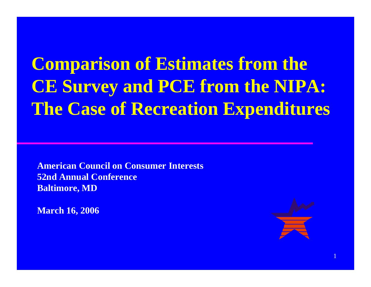**Comparison of Estimates from the CE Survey and PCE from the NIPA: The Case of Recreation Expenditures**

**American Council on Consumer Interests 52nd Annual Conference Baltimore, MD**

**March 16, 2006**



1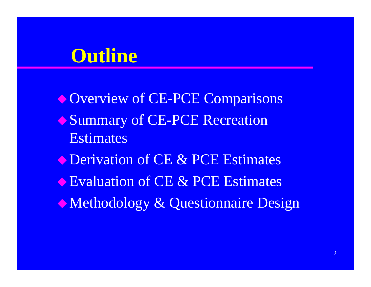## **Outline**

Overview of CE-PCE Comparisons **◆ Summary of CE-PCE Recreation** Estimates **• Derivation of CE & PCE Estimates** Evaluation of CE & PCE Estimates  $\bullet$  Methodology & Questionnaire Design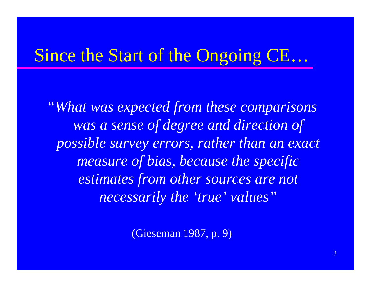## Since the Start of the Ongoing CE...

"What was expected from these comparisons was a sense of degree and direction of possible survey errors, rather than an exact measure of bias, because the specific estimates from other sources are not necessarily the 'true' values"

(Gieseman 1987, p. 9)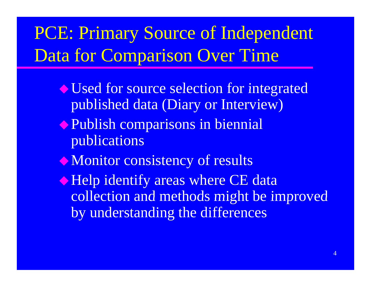## PCE: Primary Source of Independent Data for Comparison Over Time

- Used for source selection for integrated published data (Diary or Interview)
- **Publish comparisons in biennial** publications
- $\bullet$  Monitor consistency of results
- **Example 1 Figure 1 Across School** and The CE data collection and methods might be improved by understanding the differences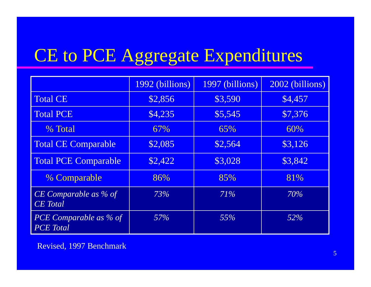#### CE to PCE Aggregate Expenditures ures

|                                                                   | 1992 (billions) | 1997 (billions) | 2002 (billions) |
|-------------------------------------------------------------------|-----------------|-----------------|-----------------|
| <b>Total CE</b>                                                   | \$2,856         | \$3,590         | \$4,457         |
| <b>Total PCE</b>                                                  | \$4,235         | \$5,545         | \$7,376         |
| % Total                                                           | 67%             | 65%             | 60%             |
| <b>Total CE Comparable</b>                                        | \$2,085         | \$2,564         | \$3,126         |
| Total PCE Comparable                                              | \$2,422         | \$3,028         | \$3,842         |
| % Comparable                                                      | 86%             | 85%             | 81%             |
| $\overline{CE}$ Comparable as $\frac{6}{6}$ of<br><b>CE</b> Total | 73%             | 71%             | 70%             |
| PCE Comparable as % of<br><b>PCE</b> Total                        | 57%             | 55%             | 52%             |

Revised, 1997 Benchmark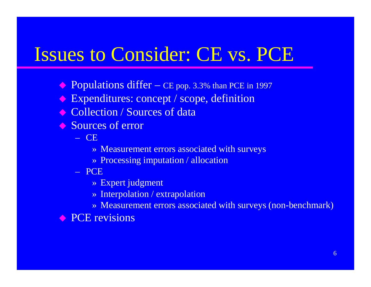## Issues to Consider: CE vs. PCE

- ◆ Populations differ — CE pop. 3.3% than PCE in 1997
- $\langle \rangle$ Expenditures: concept / scope, definition
- **◆ Collection / Sources of data**
- **◆ Sources of error** 
	- CE
		- » Measurement errors associated with surveys
		- $\rightarrow$  Processing imputation / allocation
	- PCE
		- » Expert judgment
		- » Interpolation / extrapolation
		- » Measurement errors associated with surveys (non-benchmark)

**• PCE revisions**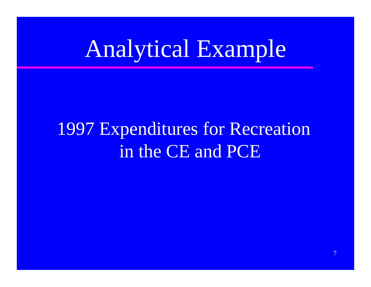# Analytical Example

## **1997 Expenditures for Recreation** in the CE and PCE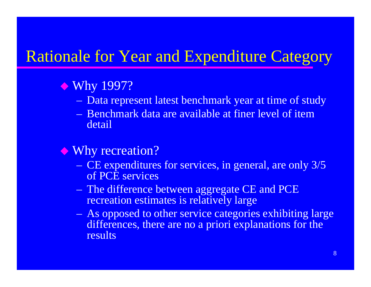### Rationale for Year and Expenditure Category

#### ◆ Why 1997?

- Data represent latest benchmark year at time of study
- Benchmark data are available at finer level of item detail

#### ◆ Why recreation?

- CE expenditures for services, in general, are only 3/5 of PCE services
- The difference between aggregate CE and PCE recreation estimates is relatively large
- $\sim$  As opposed to other service categories exhibiting large differences, there are no a priori explanations for the results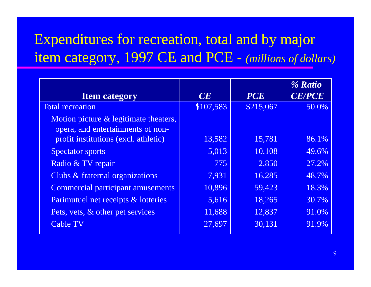### Expenditures for recreation, total and by major item category, 1997 CE and PCE - *(millions of dollars)*

|                                          |           |            | % Ratio       |
|------------------------------------------|-----------|------------|---------------|
| <b>Item category</b>                     | CE        | <b>PCE</b> | <b>CE/PCE</b> |
| <b>Total recreation</b>                  | \$107,583 | \$215,067  | 50.0%         |
| Motion picture & legitimate theaters,    |           |            |               |
| opera, and entertainments of non-        |           |            |               |
| profit institutions (excl. athletic)     | 13,582    | 15,781     | 86.1%         |
| <b>Spectator sports</b>                  | 5,013     | 10,108     | 49.6%         |
| Radio & TV repair                        | 775       | 2,850      | 27.2%         |
| Clubs & fraternal organizations          | 7,931     | 16,285     | 48.7%         |
| <b>Commercial participant amusements</b> | 10,896    | 59,423     | 18.3%         |
| Parimutuel net receipts & lotteries      | 5,616     | 18,265     | 30.7%         |
| Pets, vets, & other pet services         | 11,688    | 12,837     | 91.0%         |
| <b>Cable TV</b>                          | 27,697    | 30,131     | 91.9%         |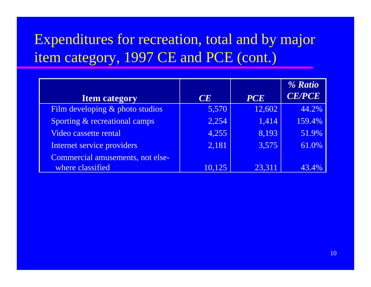### Expenditures for recreation, total and by major item category, 1997 CE and PCE (cont.)

|                                  |        |            | % Ratio       |
|----------------------------------|--------|------------|---------------|
| <b>Item category</b>             | CE     | <b>PCE</b> | <b>CE/PCE</b> |
| Film developing & photo studios  | 5,570  | 12,602     | 44.2%         |
| Sporting & recreational camps    | 2,254  | 1,414      | 159.4%        |
| Video cassette rental            | 4,255  | 8,193      | 51.9%         |
| Internet service providers       | 2,181  | 3,575      | 61.0%         |
| Commercial amusements, not else- |        |            |               |
| where classified                 | 10,125 | 23,311     |               |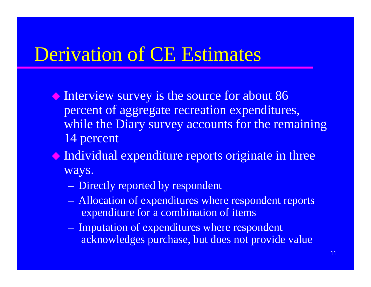## Derivation of CE Estimates

- Interview survey is the source for about 86 percent of aggregate recreation expenditures, while the Diary survey accounts for the remaining 14 percent
- $\bullet$  Individual expenditure reports originate in three ways.
	- Directly reported by respondent
	- Allocation of expenditures where respondent reports expenditure for a combination of items
	- Imputation of expenditures where respondent acknowledges purchase, but does not provide value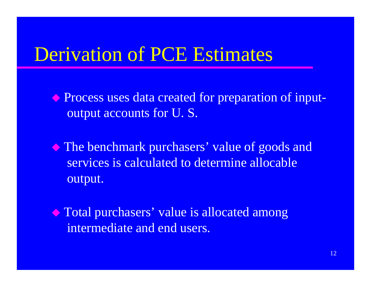## Derivation of PCE Estimates

 Process uses data created for preparation of inputoutput accounts for U. S.

 The benchmark purchasers' value of goods and services is calculated to determine allocable output.

 Total purchasers' value is allocated among intermediate and end users.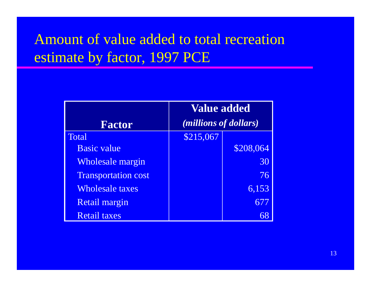### Amount of value added to total recreation estimate by factor, 1997 PCE

|                            | <b>Value added</b>             |           |  |  |
|----------------------------|--------------------------------|-----------|--|--|
| <b>Factor</b>              | ( <i>millions of dollars</i> ) |           |  |  |
| <b>Total</b>               | \$215,067                      |           |  |  |
| <b>Basic value</b>         |                                | \$208,064 |  |  |
| <b>Wholesale margin</b>    |                                | 30        |  |  |
| <b>Transportation cost</b> |                                | 76        |  |  |
| Wholesale taxes            |                                | 6,153     |  |  |
| Retail margin              |                                | 677       |  |  |
| <b>Retail taxes</b>        |                                |           |  |  |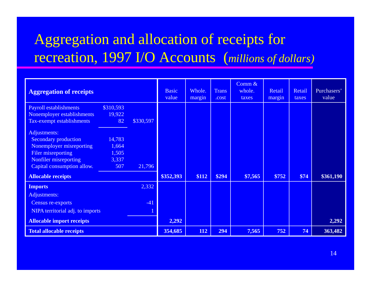### Aggregation and allocation of receipts for recreation, 1997 I/O Accounts (*millions of dollars*)

| <b>Aggregation of receipts</b>   |           |           | <b>Basic</b><br>value | Whole.<br>margin | <b>Trans</b><br>.cost | Comm $\&$<br>whole.<br>taxes | Retail<br>margin | Retail<br>taxes | Purchasers'<br>value |
|----------------------------------|-----------|-----------|-----------------------|------------------|-----------------------|------------------------------|------------------|-----------------|----------------------|
| <b>Payroll establishments</b>    | \$310,593 |           |                       |                  |                       |                              |                  |                 |                      |
| Nonemployer establishments       | 19,922    |           |                       |                  |                       |                              |                  |                 |                      |
| Tax-exempt establishments        | 82        | \$330,597 |                       |                  |                       |                              |                  |                 |                      |
| Adjustments:                     |           |           |                       |                  |                       |                              |                  |                 |                      |
| <b>Secondary production</b>      | 14,783    |           |                       |                  |                       |                              |                  |                 |                      |
| Nonemployer misreporting         | 1,664     |           |                       |                  |                       |                              |                  |                 |                      |
| Filer misreporting               | 1,505     |           |                       |                  |                       |                              |                  |                 |                      |
| Nonfiler misreporting            | 3,337     |           |                       |                  |                       |                              |                  |                 |                      |
| Capital consumption allow.       | 507       | 21,796    |                       |                  |                       |                              |                  |                 |                      |
| <b>Allocable receipts</b>        |           |           | \$352,393             | \$112            | \$294                 | \$7,565                      | \$752            | \$74            | \$361,190            |
| <b>Imports</b>                   |           | 2,332     |                       |                  |                       |                              |                  |                 |                      |
| Adjustments:                     |           |           |                       |                  |                       |                              |                  |                 |                      |
| Census re-exports                |           | $-41$     |                       |                  |                       |                              |                  |                 |                      |
| NIPA territorial adj. to imports |           |           |                       |                  |                       |                              |                  |                 |                      |
| <b>Allocable import receipts</b> |           |           | 2,292                 |                  |                       |                              |                  |                 | 2,292                |
| <b>Total allocable receipts</b>  |           |           | 354,685               | 112              | 294                   | 7,565                        | 752              | 74              | 363,482              |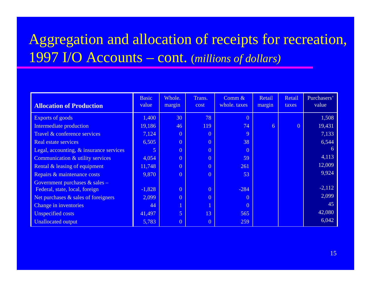### Aggregation and allocation of receipts for recreation, 1997 I/O A Accounts – cont. (*millions of dollars)*

|                                         | <b>Basic</b><br>value | Whole.         | Trans.         | Comm $\&$<br>whole. taxes | Retail | Retail         | Purchasers'<br>value |
|-----------------------------------------|-----------------------|----------------|----------------|---------------------------|--------|----------------|----------------------|
| <b>Allocation of Production</b>         |                       | margin         | cost           |                           | margin | taxes          |                      |
| Exports of goods                        | 1,400                 | 30             | 78             | $\overline{0}$            |        |                | 1,508                |
| Intermediate production                 | 19,186                | 46             | 119            | 74                        | 6      | $\overline{0}$ | 19,431               |
| Travel & conference services            | 7,124                 | $\overline{0}$ | $\overline{0}$ | 9                         |        |                | 7,133                |
| Real estate services                    | 6,505                 | $\overline{0}$ | $\overline{0}$ | 38                        |        |                | 6,544                |
| Legal, accounting, & insurance services | 5.                    | $\overline{0}$ | $\overline{0}$ | $\overline{0}$            |        |                | 6                    |
| Communication & utility services        | 4,054                 | $\overline{0}$ | $\overline{0}$ | 59                        |        |                | 4,113                |
| Rental & leasing of equipment           | 11,748                | $\overline{0}$ | $\overline{0}$ | 261                       |        |                | 12,009               |
| Repairs & maintenance costs             | 9,870                 | $\overline{0}$ | $\overline{0}$ | 53                        |        |                | 9,924                |
| Government purchases $&$ sales –        |                       |                |                |                           |        |                |                      |
| Federal, state, local, foreign          | $-1,828$              | $\overline{0}$ | $\overline{0}$ | $-284$                    |        |                | $-2,112$             |
| Net purchases & sales of foreigners     | 2,099                 | $\overline{0}$ | $\overline{0}$ | $\overline{0}$            |        |                | 2,099                |
| Change in inventories                   | 44                    | $\mathbf{1}$   | $\overline{1}$ | $\overline{0}$            |        |                | 45                   |
| Unspecified costs                       | 41,497                | $\overline{5}$ | 13             | 565                       |        |                | 42,080               |
| <b>Unallocated output</b>               | 5,783                 | $\overline{0}$ | $\overline{0}$ | 259                       |        |                | 6,042                |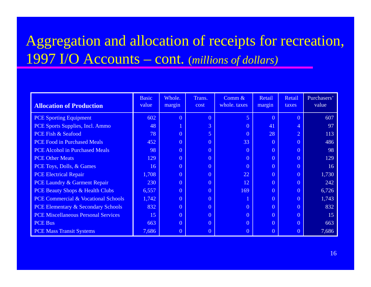### Aggregation and allocation of receipts for recreation, 1997 I/O Accounts – cont. (*millions of dollars)*

| <b>Allocation of Production</b>               | <b>Basic</b><br>value | Whole.<br>margin | Trans.<br>cost | Comm $\&$<br>whole. taxes | Retail<br>margin | Retail<br>taxes | Purchasers'<br>value |
|-----------------------------------------------|-----------------------|------------------|----------------|---------------------------|------------------|-----------------|----------------------|
| <b>PCE Sporting Equipment</b>                 | 602                   | $\theta$         | $\overline{0}$ | $\overline{5}$            | $\overline{0}$   | $\overline{0}$  | 607                  |
| PCE Sports Supplies, Incl. Ammo               | 48                    | $\mathbf{1}$     | 3              | $\overline{0}$            | 41               | $\overline{4}$  | 97                   |
| PCE Fish & Seafood                            | 78                    | $\overline{0}$   | 5              | $\overline{0}$            | 28               | $\overline{2}$  | 113                  |
| <b>PCE Food in Purchased Meals</b>            | 452                   | $\overline{0}$   | $\overline{0}$ | 33                        | $\overline{0}$   | $\overline{0}$  | 486                  |
| <b>PCE Alcohol in Purchased Meals</b>         | 98                    | $\overline{0}$   | $\overline{0}$ | $\overline{0}$            | $\overline{0}$   | $\theta$        | 98                   |
| <b>PCE Other Meats</b>                        | 129                   | $\overline{0}$   | $\overline{0}$ | $\overline{0}$            | $\overline{0}$   | $\overline{0}$  | 129                  |
| PCE Toys, Dolls, & Games                      | 16                    | $\overline{0}$   | $\overline{0}$ | $\overline{0}$            | $\overline{0}$   | $\overline{0}$  | 16                   |
| <b>PCE Electrical Repair</b>                  | 1,708                 | $\overline{0}$   | $\overline{0}$ | 22                        | $\overline{0}$   | $\overline{0}$  | 1,730                |
| PCE Laundry & Garment Repair                  | 230                   | $\overline{0}$   | $\overline{0}$ | 12                        | $\overline{0}$   | $\theta$        | 242                  |
| <b>PCE Beauty Shops &amp; Health Clubs</b>    | 6,557                 | $\overline{0}$   | $\overline{0}$ | 169                       | $\overline{0}$   | $\overline{0}$  | 6,726                |
| PCE Commercial & Vocational Schools           | 1,742                 | $\overline{0}$   | $\overline{0}$ |                           | $\overline{0}$   | $\overline{0}$  | 1,743                |
| <b>PCE Elementary &amp; Secondary Schools</b> | 832                   | $\overline{0}$   | $\overline{0}$ | $\overline{0}$            | $\overline{0}$   | $\overline{0}$  | 832                  |
| <b>PCE Miscellaneous Personal Services</b>    | 15                    | $\overline{0}$   | $\overline{0}$ | $\overline{0}$            | $\overline{0}$   | $\overline{0}$  | 15                   |
| <b>PCE Bus</b>                                | 663                   | $\overline{0}$   | $\overline{0}$ | $\overline{0}$            | $\overline{0}$   | $\overline{0}$  | 663                  |
| <b>PCE Mass Transit Systems</b>               | 7,686                 | $\overline{0}$   | $\overline{0}$ | $\overline{0}$            | $\overline{0}$   |                 | 7,686                |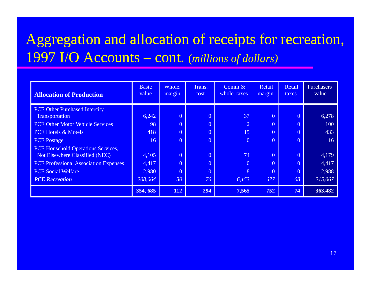### Aggregation and allocation of receipts for recreation, I/O A Accounts – cont. (*millions of dollars)*

| <b>Allocation of Production</b>              | <b>Basic</b><br>value | Whole.<br>margin | Trans.<br>cost | Comm $\&$<br>whole, taxes | Retail<br>margin | Retail<br>taxes | Purchasers'<br>value |
|----------------------------------------------|-----------------------|------------------|----------------|---------------------------|------------------|-----------------|----------------------|
| <b>PCE Other Purchased Intercity</b>         |                       |                  |                |                           |                  |                 |                      |
| Transportation                               | 6,242                 | $\overline{0}$   | $\overline{0}$ | 37                        | $\overline{0}$   | $\overline{0}$  | 6,278                |
| <b>PCE Other Motor Vehicle Services</b>      | 98                    | $\overline{0}$   | $\overline{0}$ | $\overline{2}$            | $\overline{0}$   | $\overline{0}$  | 100                  |
| <b>PCE Hotels &amp; Motels</b>               | 418                   | $\overline{0}$   | $\overline{0}$ | 15                        | $\theta$         | $\theta$        | 433                  |
| <b>PCE Postage</b>                           | 16                    | $\overline{0}$   | $\overline{0}$ | $\overline{0}$            | $\overline{0}$   | $\overline{0}$  | 16                   |
| PCE Household Operations Services,           |                       |                  |                |                           |                  |                 |                      |
| Not Elsewhere Classified (NEC)               | 4,105                 | $\overline{0}$   | $\overline{0}$ | 74                        | $\overline{0}$   | $\theta$        | 4,179                |
| <b>PCE Professional Association Expenses</b> | 4,417                 | $\overline{0}$   | $\overline{0}$ | $\overline{0}$            | $\theta$         | $\overline{0}$  | 4,417                |
| <b>PCE Social Welfare</b>                    | 2,980                 | $\overline{0}$   | $\overline{0}$ | 8                         | $\overline{0}$   | $\overline{0}$  | 2,988                |
| <b>PCE</b> Recreation                        | 208,064               | 30               | 76             | 6,153                     | 677              | 68              | 215,067              |
|                                              | 354, 685              | 112              | 294            | 7,565                     | 752              | 74              | 363,482              |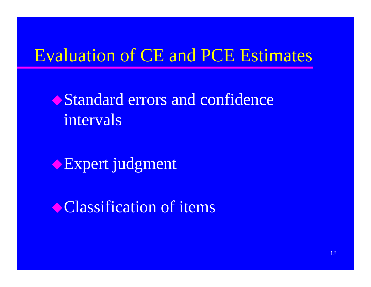## **Evaluation of CE and PCE Estimates**

Standard errors and confidence intervals

Expert judgment

Classification of items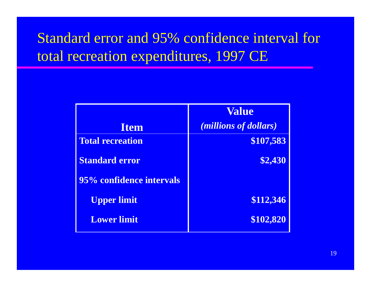### Standard error and 95% confidence interval for total recreation expenditures, 1997 CE

|                          | <b>Value</b>                   |
|--------------------------|--------------------------------|
| <b>Item</b>              | ( <i>millions of dollars</i> ) |
| <b>Total recreation</b>  | \$107,583                      |
| <b>Standard error</b>    | \$2,430                        |
| 95% confidence intervals |                                |
| <b>Upper limit</b>       | \$112,346                      |
| <b>Lower limit</b>       | \$102,820                      |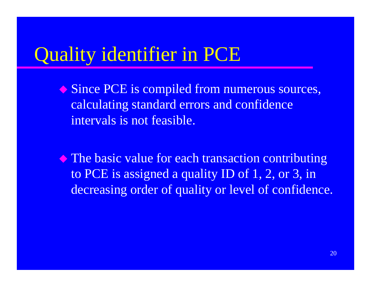## Quality identifier in PCE

- ◆ Since PCE is compiled from numerous sources, calculating standard errors and confidence intervals is not feasible.
- $\blacklozenge$  The basic value for each transaction contributing to PCE is assigned a quality ID of 1, 2, or 3, in decreasing order of quality or level of confidence.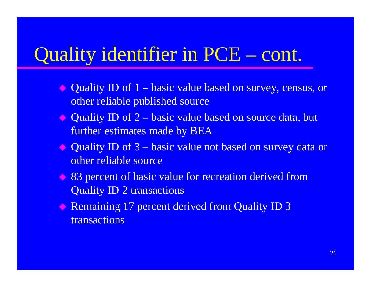#### Quality identifier in PCE  $-$  cont.

- ◆ Quality ID of 1 – basic value based on survey, census, or other reliable published source
- ◆ Quality ID of 2 basic value based on source data, but further estimates made by BEA
- ◆ Quality ID of 3 basic value not based on survey data or other reliable source
- ◆ 83 percent of basic value for recreation derived from Quality ID 2 transactions
- $\leftrightarrow$  Remaining 17 percent derived from Quality ID 3 transactions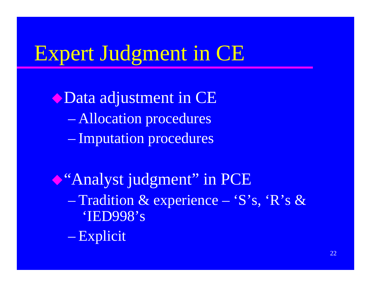# Expert Judgment in CE

Obata adjustment in CE - Allocation procedures - Imputation procedures

Casa analyst judgment" in PCE - Tradition & experience - 'S's, 'R's & 'IED998's - Explicit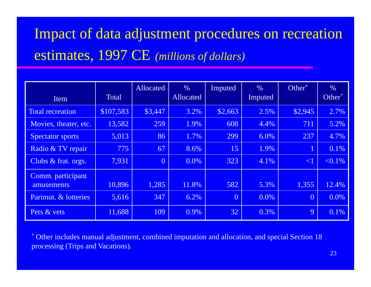## Impact of data adjustment procedures on recreation estimates, 1997 CE (millions of dollars)

| Item                            | <b>Total</b> | Allocated      | $\frac{0}{0}$<br>Allocated | Imputed        | $\%$<br>Imputed | Other <sup>*</sup> | $\frac{0}{0}$<br>Other <sup>*</sup> |
|---------------------------------|--------------|----------------|----------------------------|----------------|-----------------|--------------------|-------------------------------------|
| Total recreation                | \$107,583    | \$3,447        | 3.2%                       | \$2,663        | 2.5%            | \$2,945            | 2.7%                                |
| Movies, theater, etc.           | 13,582       | 259            | 1.9%                       | 608            | 4.4%            | 711                | 5.2%                                |
| <b>Spectator sports</b>         | 5,013        | 86             | 1.7%                       | 299            | 6.0%            | 237                | 4.7%                                |
| Radio & TV repair               | 775          | 67             | 8.6%                       | 15             | 1.9%            | $\mathbf 1$        | 0.1%                                |
| Clubs & frat. orgs.             | 7,931        | $\overline{0}$ | 0.0%                       | 323            | 4.1%            | $\leq$ 1           | $< 0.1\%$                           |
| Comm. participant<br>amusements | 10,896       | 1,285          | 11.8%                      | 582            | 5.3%            | 1,355              | 12.4%                               |
| Parimut. & lotteries            | 5,616        | 347            | 6.2%                       | $\overline{0}$ | $0.0\%$         | $\overline{0}$     | 0.0%                                |
| Pets & vets                     | 11,688       | 109            | 0.9%                       | 32             | 0.3%            | 9                  | 0.1%                                |

\* Other includes manual adjustment, combined imputation and allocation, and special Section 18 processing (Trips and Vacations).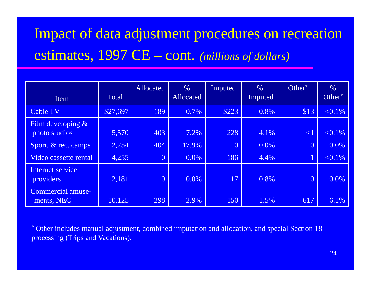## Impact of data adjustment procedures on recreation estimates, 1997 CE - cont. (millions of dollars)

| Item                                  | <b>Total</b> | Allocated      | $\%$<br>Allocated | Imputed        | $\frac{0}{0}$<br>Imputed | $Other^*$      | $\frac{0}{0}$<br>Other <sup>*</sup> |
|---------------------------------------|--------------|----------------|-------------------|----------------|--------------------------|----------------|-------------------------------------|
| <b>Cable TV</b>                       | \$27,697     | 189            | 0.7%              | \$223          | 0.8%                     | \$13           | $< 0.1\%$                           |
| Film developing $\&$<br>photo studios | 5,570        | 403            | 7.2%              | 228            | 4.1%                     | $\leq$ 1       | $< 0.1\%$                           |
| Sport. & rec. camps                   | 2,254        | 404            | 17.9%             | $\overline{0}$ | $0.0\%$                  | $\overline{0}$ | 0.0%                                |
| Video cassette rental                 | 4,255        | $\overline{0}$ | $0.0\%$           | 186            | 4.4%                     | $\overline{1}$ | $< 0.1\%$                           |
| Internet service<br>providers         | 2,181        | $\overline{0}$ | $0.0\%$           | 17             | 0.8%                     | $\overline{0}$ | 0.0%                                |
| Commercial amuse-<br>ments, NEC       | 10,125       | 298            | 2.9%              | 150            | 1.5%                     | 617            | 6.1%                                |

\* Other includes manual adjustment, combined imputation and allocation, and special Section 18 processing (Trips and Vacations).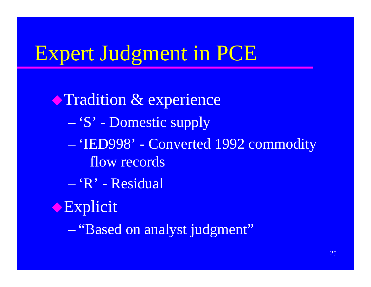## **Expert Judgment in PCE**

**Tradition & experience** - 'S' - Domestic supply - 'IED998' - Converted 1992 commodity flow records  $-$  'R' - Residual Explicit - "Based on analyst judgment"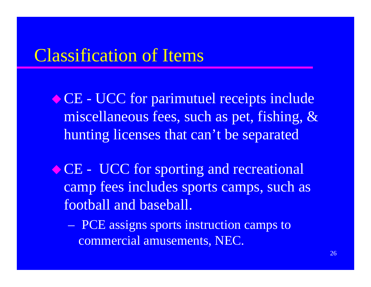### Classification of Items

CE - UCC for parimutuel receipts include miscellaneous fees, such as pet, fishing, & hunting licenses that can't be separated

◆ CE - UCC for sporting and recreational camp fees includes sports camps, such as football and baseball.

 PCE assigns sports instruction camps to commercial amusements, NEC.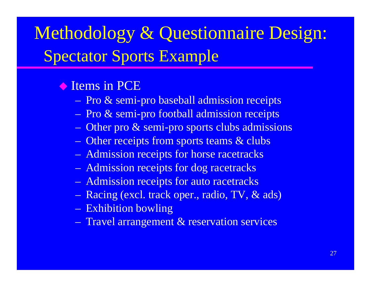# Methodology & Questionnaire Design: Spectator Sports Example

#### **Items in PCE**

- Pro & semi-pro baseball admission receipts
- Pro & semi-pro football admission receipts
- Other pro & semi-pro sports clubs admissions
- Other receipts from sports teams & clubs
- Admission receipts for horse racetracks
- Admission receipts for dog racetracks
- Admission receipts for auto racetracks
- Racing (excl. track oper., radio, TV, & ads) Exhibition bowling
- Travel arrangement & reservation services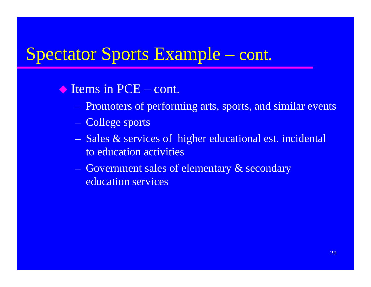## Spectator Sports Example – cont.

#### ◆ Items in PCE – cont.

- Promoters of performing arts, sports, and similar events
- College sports
- Sales & services of higher educational est. incidental to education activities
- Government sales of elementary & secondary education services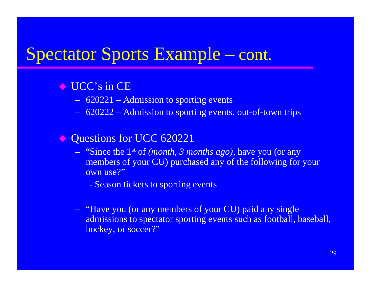## Spectator Sports Example – cont.

#### $\bullet$  UCC's in CE

- $\sim$ 620221 – Admission to sporting events
- $\mathcal{L}_{\mathcal{A}}$ 620222 – Admission to sporting events, out-of-town trips

#### $\Diamond$ Questions for UCC 620221

- "Since the 1st of *(month, 3 months ago)*, have you (or any members of your CU) purchased any of the following for your own use?"
	- Season tickets to sporting events
- $\sim$  "Have you (or any members of your CU) paid any single admissions to spectator sporting events such as football, baseball, hockey, or soccer?"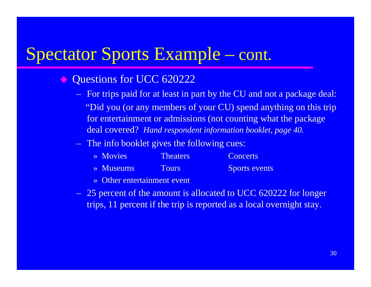## Spectator Sports Example – cont.

- $\Diamond$  Questions for UCC 620222
	- For trips paid for at least in part by the CU and not a package deal: "Did you (or any members of your CU) spend anything on this trip for entertainment or admissions (not counting what the package deal covered? *Hand respondent information booklet, page 40.*
	- The info booklet gives the following cues:

| $\rightarrow$ Movies  | <b>Theaters</b> | <b>Concerts</b>      |
|-----------------------|-----------------|----------------------|
| $\rightarrow$ Museums | <b>Tours</b>    | <b>Sports events</b> |

- » Other entertainment event
- 25 percent of the amount is allocated to UCC 620222 for longer trips, 11 percent if the trip is reported as a local overnight stay.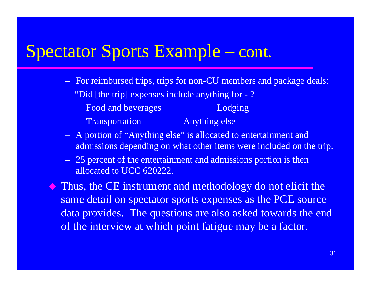#### Spectator Sports Example r Sports Example – cont.

- For reimbursed trips, trips for non-CU members and package deals: "Did [the trip] expenses include anything for - ? Food and beverages **Lodging** Trans portation Anything else
- A portion of "Anything else" is allocated to entertainment and admissions depending on what other items were included on the trip.
- $-$  25 percent of the entertainment and admissions portion is then allocated to UCC 620222.

 $\Diamond$  Thus, the CE instrument and methodology do not elicit the same detail on spectator sports expenses as the PCE source data provides. The questions are also asked towards the end of the interview at which point fatigue may be a factor.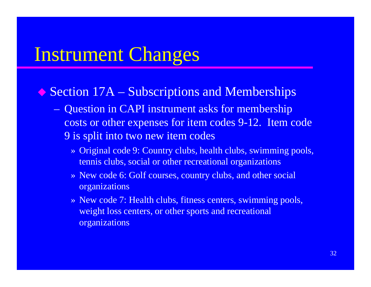## Instrument Changes

#### ◆ Section 17A – Subscriptions and Memberships

- Question in CAPI instrument asks for membership costs or other expenses for item codes 9-12. Item code 9 is split into two new item codes
	- » Original code 9: Country clubs, health clubs, swimming pools, tennis clubs, social or other recreational organizations
	- » New code 6: Golf courses, country clubs, and other social organizations
	- » New code 7: Health clubs, fitness centers, swimming pools, weight loss centers, or other sports and recreational organizations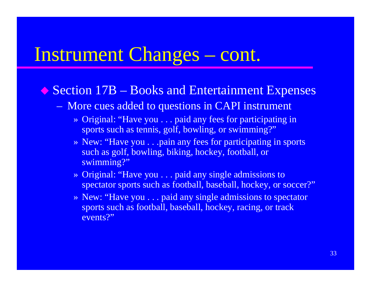#### Instrument Changes  $-$  cont.

#### ◆ Section 17B – – Books and Entertainment Expenses

- More cues added to questions in CAPI instrument
	- » Original: "Have you . . . paid any fees for participating in sports such as tennis, golf, bowling, or swimming?"
	- » New: "Have you . . .pain any fees for participating in sports such as golf, bowling, biking, hockey, football, or swimming? "
	- » Original: "Have you . . . paid any single admissions to spectator sports such as football, baseball, hockey, or soccer?"
	- » New: "Have you . . . paid any single admissions to spectator sports such as football, baseball, hockey, racing, or track events?"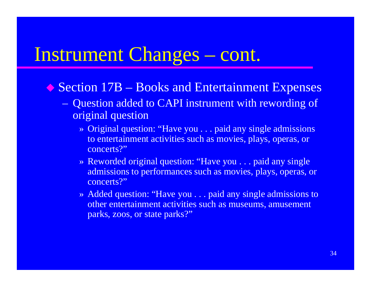#### Instrument Changes  $-$  cont.

- ◆ Section 17B – Books and Entertainment Expenses
	- Question added to CAPI instrument with rewording of original question
		- » Original question: "Have you . . . paid any single admissions to entertainment activities such as movies, plays, operas, or concerts?"
		- » Reworded original question: "Have you . . . paid any single admissions to performances such as movies, plays, operas, or concerts?"
		- » Added question: "Have you . . . paid any single admissions to other entertainment activities such as museums, amusement parks, zoos, or state parks?"